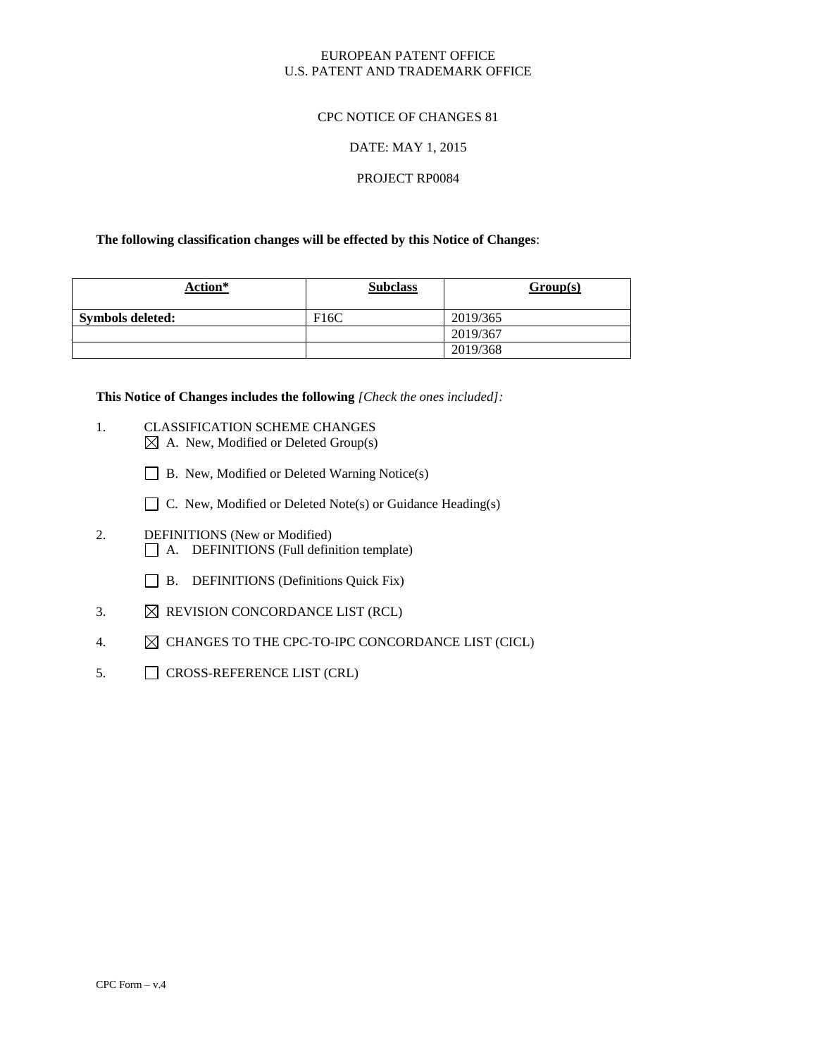## EUROPEAN PATENT OFFICE U.S. PATENT AND TRADEMARK OFFICE

## CPC NOTICE OF CHANGES 81

## DATE: MAY 1, 2015

## PROJECT RP0084

## **The following classification changes will be effected by this Notice of Changes**:

| Action*          | <b>Subclass</b> | Group(s) |
|------------------|-----------------|----------|
| Symbols deleted: | F16C            | 2019/365 |
|                  |                 | 2019/367 |
|                  |                 | 2019/368 |

**This Notice of Changes includes the following** *[Check the ones included]:*

- 1. CLASSIFICATION SCHEME CHANGES  $\boxtimes$  A. New, Modified or Deleted Group(s)
	- B. New, Modified or Deleted Warning Notice(s)
	- $\Box$  C. New, Modified or Deleted Note(s) or Guidance Heading(s)
- 2. DEFINITIONS (New or Modified) A. DEFINITIONS (Full definition template)
	- B. DEFINITIONS (Definitions Quick Fix)
- 3.  $\boxtimes$  REVISION CONCORDANCE LIST (RCL)
- 4.  $\boxtimes$  CHANGES TO THE CPC-TO-IPC CONCORDANCE LIST (CICL)
- 5. CROSS-REFERENCE LIST (CRL)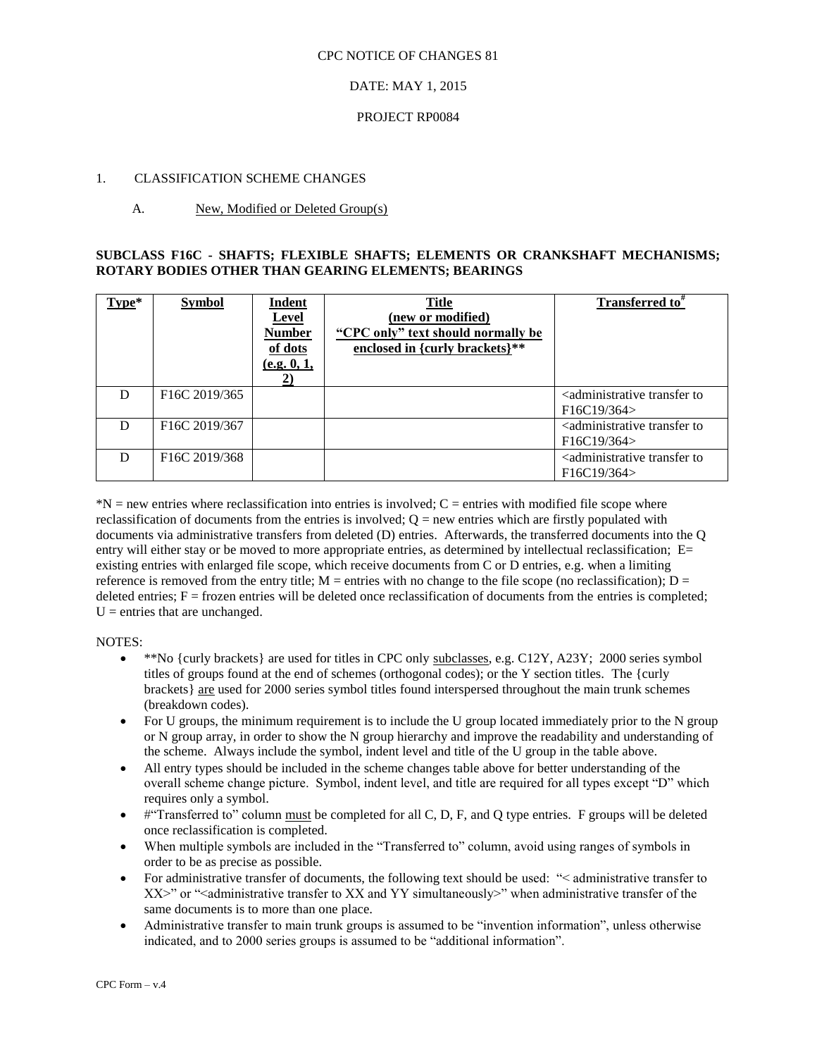#### CPC NOTICE OF CHANGES 81

## DATE: MAY 1, 2015

### PROJECT RP0084

## 1. CLASSIFICATION SCHEME CHANGES

## A. New, Modified or Deleted Group(s)

## **SUBCLASS F16C - SHAFTS; FLEXIBLE SHAFTS; ELEMENTS OR CRANKSHAFT MECHANISMS; ROTARY BODIES OTHER THAN GEARING ELEMENTS; BEARINGS**

| Type* | <b>Symbol</b>                          | Indent<br>Level<br><b>Number</b><br>of dots<br>(e.g. 0, 1,<br>2) | <b>Title</b><br>(new or modified)<br>"CPC only" text should normally be<br>enclosed in {curly brackets}** | Transferred to <sup>#</sup>                                      |
|-------|----------------------------------------|------------------------------------------------------------------|-----------------------------------------------------------------------------------------------------------|------------------------------------------------------------------|
| D     | F <sub>16</sub> C <sub>2019</sub> /365 |                                                                  |                                                                                                           | <administrative to<br="" transfer="">F16C19/364</administrative> |
| D     | F <sub>16</sub> C <sub>2019</sub> /367 |                                                                  |                                                                                                           | <administrative to<br="" transfer="">F16C19/364</administrative> |
| D     | F <sub>16</sub> C <sub>2019</sub> /368 |                                                                  |                                                                                                           | <administrative to<br="" transfer="">F16C19/364</administrative> |

 $N =$  new entries where reclassification into entries is involved;  $C =$  entries with modified file scope where reclassification of documents from the entries is involved;  $Q =$  new entries which are firstly populated with documents via administrative transfers from deleted (D) entries. Afterwards, the transferred documents into the Q entry will either stay or be moved to more appropriate entries, as determined by intellectual reclassification; E= existing entries with enlarged file scope, which receive documents from C or D entries, e.g. when a limiting reference is removed from the entry title;  $M =$  entries with no change to the file scope (no reclassification);  $D =$ deleted entries;  $F =$  frozen entries will be deleted once reclassification of documents from the entries is completed;  $U =$  entries that are unchanged.

#### NOTES:

- \*\*No {curly brackets} are used for titles in CPC only subclasses, e.g. C12Y, A23Y; 2000 series symbol titles of groups found at the end of schemes (orthogonal codes); or the Y section titles. The {curly brackets} are used for 2000 series symbol titles found interspersed throughout the main trunk schemes (breakdown codes).
- For U groups, the minimum requirement is to include the U group located immediately prior to the N group or N group array, in order to show the N group hierarchy and improve the readability and understanding of the scheme. Always include the symbol, indent level and title of the U group in the table above.
- All entry types should be included in the scheme changes table above for better understanding of the overall scheme change picture. Symbol, indent level, and title are required for all types except "D" which requires only a symbol.
- #"Transferred to" column must be completed for all C, D, F, and Q type entries. F groups will be deleted once reclassification is completed.
- When multiple symbols are included in the "Transferred to" column, avoid using ranges of symbols in order to be as precise as possible.
- For administrative transfer of documents, the following text should be used: "
learninistrative transfer to  $XX>$ " or "<administrative transfer to XX and YY simultaneously>" when administrative transfer of the same documents is to more than one place.
- Administrative transfer to main trunk groups is assumed to be "invention information", unless otherwise indicated, and to 2000 series groups is assumed to be "additional information".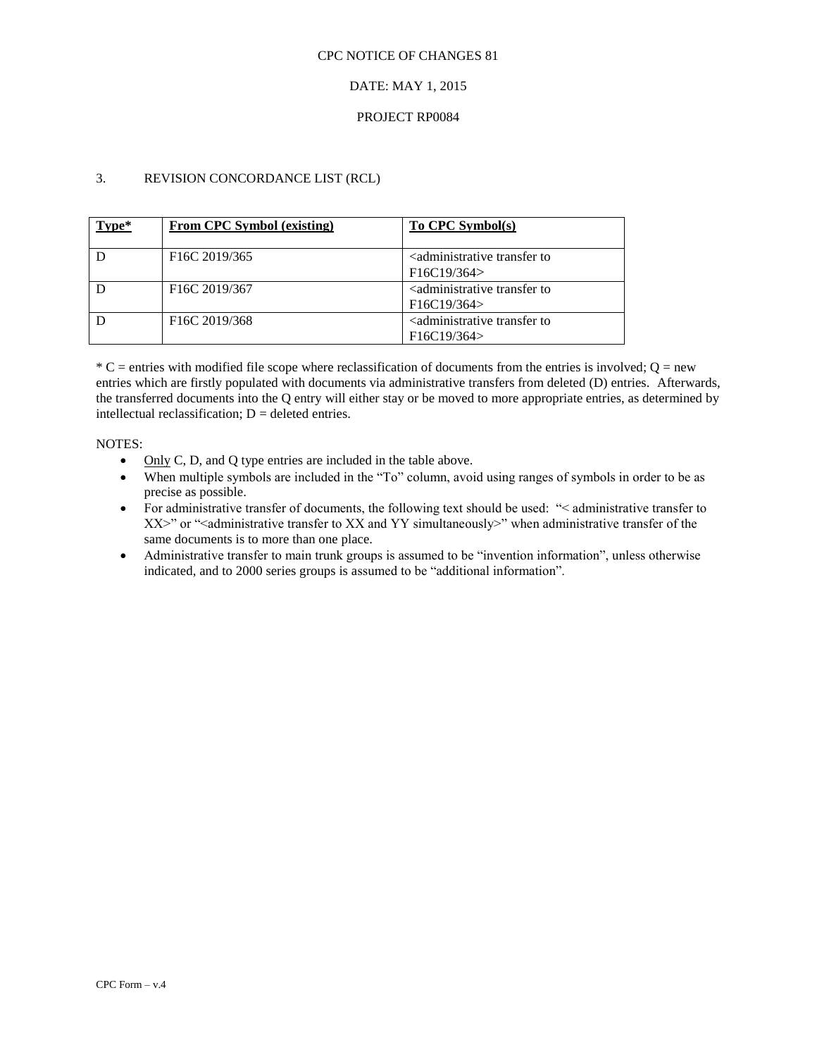#### CPC NOTICE OF CHANGES 81

## DATE: MAY 1, 2015

## PROJECT RP0084

## 3. REVISION CONCORDANCE LIST (RCL)

| Type* | From CPC Symbol (existing)             | To CPC Symbol(s)                                           |
|-------|----------------------------------------|------------------------------------------------------------|
|       | F <sub>16</sub> C 2019/365             | <administrative td="" to<="" transfer=""></administrative> |
|       |                                        | F16C19/364                                                 |
|       | F <sub>16</sub> C <sub>2019</sub> /367 | <administrative td="" to<="" transfer=""></administrative> |
|       |                                        | F16C19/364                                                 |
|       | F <sub>16</sub> C <sub>2019</sub> /368 | <administrative td="" to<="" transfer=""></administrative> |
|       |                                        | F16C19/364                                                 |

 $*$  C = entries with modified file scope where reclassification of documents from the entries is involved; Q = new entries which are firstly populated with documents via administrative transfers from deleted (D) entries. Afterwards, the transferred documents into the Q entry will either stay or be moved to more appropriate entries, as determined by intellectual reclassification;  $D =$  deleted entries.

#### NOTES:

- Only C, D, and Q type entries are included in the table above.
- When multiple symbols are included in the "To" column, avoid using ranges of symbols in order to be as precise as possible.
- For administrative transfer of documents, the following text should be used: "> administrative transfer to XX>" or "<administrative transfer to XX and YY simultaneously>" when administrative transfer of the same documents is to more than one place.
- Administrative transfer to main trunk groups is assumed to be "invention information", unless otherwise indicated, and to 2000 series groups is assumed to be "additional information".